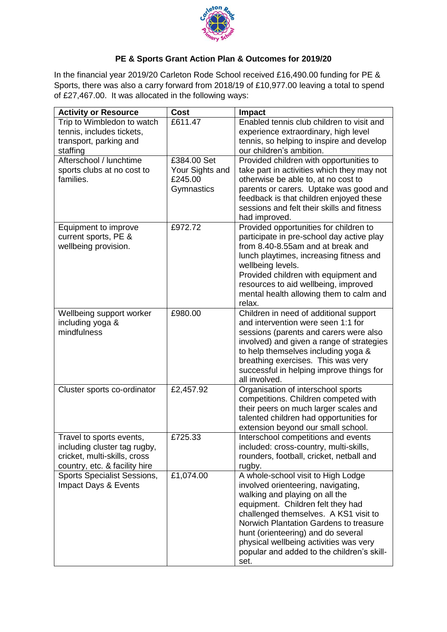

## **PE & Sports Grant Action Plan & Outcomes for 2019/20**

In the financial year 2019/20 Carleton Rode School received £16,490.00 funding for PE & Sports, there was also a carry forward from 2018/19 of £10,977.00 leaving a total to spend of £27,467.00. It was allocated in the following ways:

|                                                                              | <b>Activity or Resource</b>   |
|------------------------------------------------------------------------------|-------------------------------|
| £611.47<br>Enabled tennis club children to visit and                         | Trip to Wimbledon to watch    |
| experience extraordinary, high level                                         | tennis, includes tickets,     |
| tennis, so helping to inspire and develop                                    | transport, parking and        |
| our children's ambition.                                                     | staffing                      |
| £384.00 Set<br>Provided children with opportunities to                       | Afterschool / lunchtime       |
| Your Sights and<br>take part in activities which they may not                | sports clubs at no cost to    |
| £245.00<br>otherwise be able to, at no cost to                               | families.                     |
| Gymnastics<br>parents or carers. Uptake was good and                         |                               |
| feedback is that children enjoyed these                                      |                               |
| sessions and felt their skills and fitness                                   |                               |
| had improved.                                                                |                               |
| Provided opportunities for children to<br>£972.72                            | Equipment to improve          |
| participate in pre-school day active play                                    | current sports, PE &          |
| from 8.40-8.55am and at break and                                            | wellbeing provision.          |
| lunch playtimes, increasing fitness and                                      |                               |
| wellbeing levels.                                                            |                               |
| Provided children with equipment and<br>resources to aid wellbeing, improved |                               |
| mental health allowing them to calm and                                      |                               |
| relax.                                                                       |                               |
| £980.00<br>Children in need of additional support                            | Wellbeing support worker      |
| and intervention were seen 1:1 for                                           | including yoga &              |
| sessions (parents and carers were also                                       | mindfulness                   |
| involved) and given a range of strategies                                    |                               |
| to help themselves including yoga &                                          |                               |
| breathing exercises. This was very                                           |                               |
| successful in helping improve things for                                     |                               |
| all involved.                                                                |                               |
| £2,457.92<br>Organisation of interschool sports                              | Cluster sports co-ordinator   |
| competitions. Children competed with                                         |                               |
| their peers on much larger scales and                                        |                               |
| talented children had opportunities for                                      |                               |
| extension beyond our small school.                                           |                               |
| £725.33<br>Interschool competitions and events                               | Travel to sports events,      |
| included: cross-country, multi-skills,                                       | including cluster tag rugby,  |
| rounders, football, cricket, netball and                                     | cricket, multi-skills, cross  |
| rugby.                                                                       | country, etc. & facility hire |
| £1,074.00<br>A whole-school visit to High Lodge                              | Sports Specialist Sessions,   |
| involved orienteering, navigating,                                           | Impact Days & Events          |
| walking and playing on all the                                               |                               |
| equipment. Children felt they had                                            |                               |
| challenged themselves. A KS1 visit to                                        |                               |
| Norwich Plantation Gardens to treasure                                       |                               |
| hunt (orienteering) and do several                                           |                               |
| physical wellbeing activities was very                                       |                               |
| popular and added to the children's skill-<br>set.                           |                               |